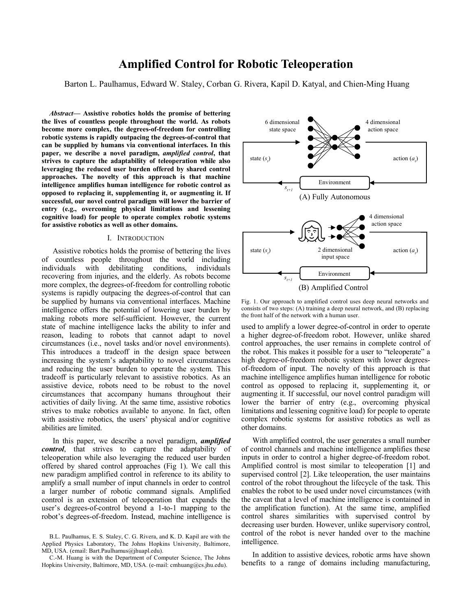# **Amplified Control for Robotic Teleoperation**

Barton L. Paulhamus, Edward W. Staley, Corban G. Rivera, Kapil D. Katyal, and Chien-Ming Huang

*Abstract***— Assistive robotics holds the promise of bettering the lives of countless people throughout the world. As robots become more complex, the degrees-of-freedom for controlling robotic systems is rapidly outpacing the degrees-of-control that can be supplied by humans via conventional interfaces. In this paper, we describe a novel paradigm,** *amplified control***, that strives to capture the adaptability of teleoperation while also leveraging the reduced user burden offered by shared control approaches. The novelty of this approach is that machine intelligence amplifies human intelligence for robotic control as opposed to replacing it, supplementing it, or augmenting it. If successful, our novel control paradigm will lower the barrier of entry (e.g., overcoming physical limitations and lessening cognitive load) for people to operate complex robotic systems for assistive robotics as well as other domains.**

## I. INTRODUCTION

Assistive robotics holds the promise of bettering the lives of countless people throughout the world including individuals with debilitating conditions, individuals recovering from injuries, and the elderly. As robots become more complex, the degrees-of-freedom for controlling robotic systems is rapidly outpacing the degrees-of-control that can be supplied by humans via conventional interfaces. Machine intelligence offers the potential of lowering user burden by making robots more self-sufficient. However, the current state of machine intelligence lacks the ability to infer and reason, leading to robots that cannot adapt to novel circumstances (i.e., novel tasks and/or novel environments). This introduces a tradeoff in the design space between increasing the system's adaptability to novel circumstances and reducing the user burden to operate the system. This tradeoff is particularly relevant to assistive robotics. As an assistive device, robots need to be robust to the novel circumstances that accompany humans throughout their activities of daily living. At the same time, assistive robotics strives to make robotics available to anyone. In fact, often with assistive robotics, the users' physical and/or cognitive abilities are limited.

In this paper, we describe a novel paradigm, *amplified control*, that strives to capture the adaptability of teleoperation while also leveraging the reduced user burden offered by shared control approaches (Fig 1). We call this new paradigm amplified control in reference to its ability to amplify a small number of input channels in order to control a larger number of robotic command signals. Amplified control is an extension of teleoperation that expands the user's degrees-of-control beyond a 1-to-1 mapping to the robot's degrees-of-freedom. Instead, machine intelligence is

B.L. Paulhamus, E. S. Staley, C. G. Rivera, and K. D. Kapil are with the Applied Physics Laboratory, The Johns Hopkins University, Baltimore, MD, USA. (email: Bart.Paulhamus@jhuapl.edu).

C.-M. Huang is with the Department of Computer Science, The Johns Hopkins University, Baltimore, MD, USA. (e-mail: cmhuang@cs.jhu.edu).



Fig. 1. Our approach to amplified control uses deep neural networks and consists of two steps: (A) training a deep neural network, and (B) replacing the front half of the network with a human user.

used to amplify a lower degree-of-control in order to operate a higher degree-of-freedom robot. However, unlike shared control approaches, the user remains in complete control of the robot. This makes it possible for a user to "teleoperate" a high degree-of-freedom robotic system with lower degreesof-freedom of input. The novelty of this approach is that machine intelligence amplifies human intelligence for robotic control as opposed to replacing it, supplementing it, or augmenting it. If successful, our novel control paradigm will lower the barrier of entry (e.g., overcoming physical limitations and lessening cognitive load) for people to operate complex robotic systems for assistive robotics as well as other domains.

With amplified control, the user generates a small number of control channels and machine intelligence amplifies these inputs in order to control a higher degree-of-freedom robot. Amplified control is most similar to teleoperation [1] and supervised control [2]. Like teleoperation, the user maintains control of the robot throughout the lifecycle of the task. This enables the robot to be used under novel circumstances (with the caveat that a level of machine intelligence is contained in the amplification function). At the same time, amplified control shares similarities with supervised control by decreasing user burden. However, unlike supervisory control, control of the robot is never handed over to the machine intelligence.

In addition to assistive devices, robotic arms have shown benefits to a range of domains including manufacturing,